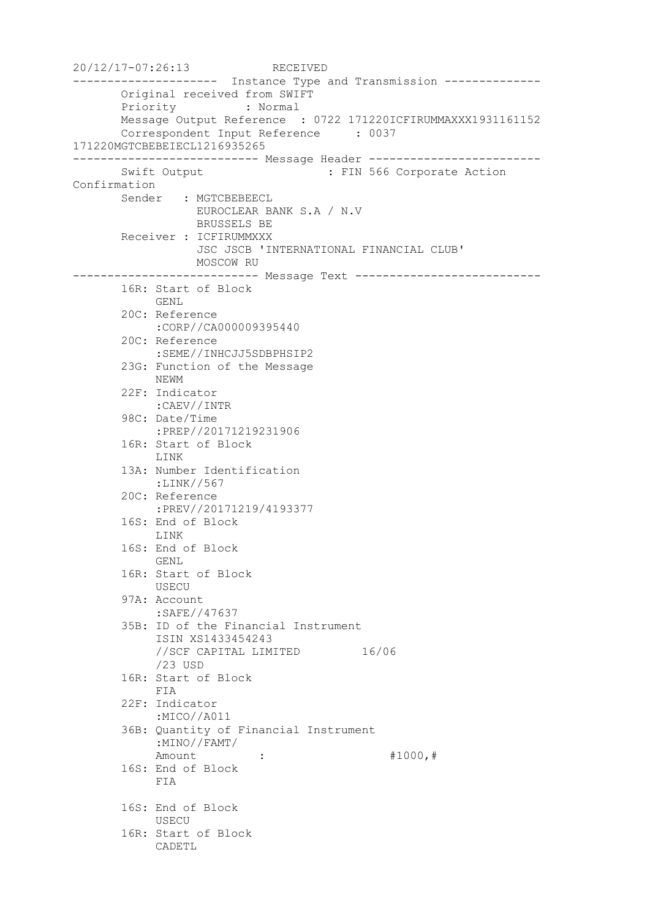```
20/12/17-07:26:13 RECEIVED
--------------------- Instance Type and Transmission --------------
       Original received from SWIFT
       Priority : Normal
       Message Output Reference : 0722 171220ICFIRUMMAXXX1931161152
       Correspondent Input Reference : 0037 
171220MGTCBEBEIECL1216935265
--------------------------- Message Header -------------------------
      Swift Output : FIN 566 Corporate Action
Confirmation
       Sender : MGTCBEBEECL
                 EUROCLEAR BANK S.A / N.V
                 BRUSSELS BE
       Receiver : ICFIRUMMXXX
                  JSC JSCB 'INTERNATIONAL FINANCIAL CLUB'
                 MOSCOW RU
--------------------------- Message Text ---------------------------
       16R: Start of Block
            GENL
       20C: Reference
            :CORP//CA000009395440
       20C: Reference
            :SEME//INHCJJ5SDBPHSIP2
       23G: Function of the Message
            NEWM
       22F: Indicator
            :CAEV//INTR
        98C: Date/Time
            :PREP//20171219231906
       16R: Start of Block
            LINK
        13A: Number Identification
            :LINK//567
        20C: Reference
            :PREV//20171219/4193377
       16S: End of Block
            LINK
       16S: End of Block
            GENL
       16R: Start of Block
            USECU
       97A: Account
            :SAFE//47637
       35B: ID of the Financial Instrument
            ISIN XS1433454243
            //SCF CAPITAL LIMITED 16/06
            /23 USD
        16R: Start of Block
            FIA
        22F: Indicator
            :MICO//A011
        36B: Quantity of Financial Instrument
            :MINO//FAMT/
           Amount : : #1000, #
       16S: End of Block
            FIA
       16S: End of Block
            USECU
       16R: Start of Block
            CADETL
```